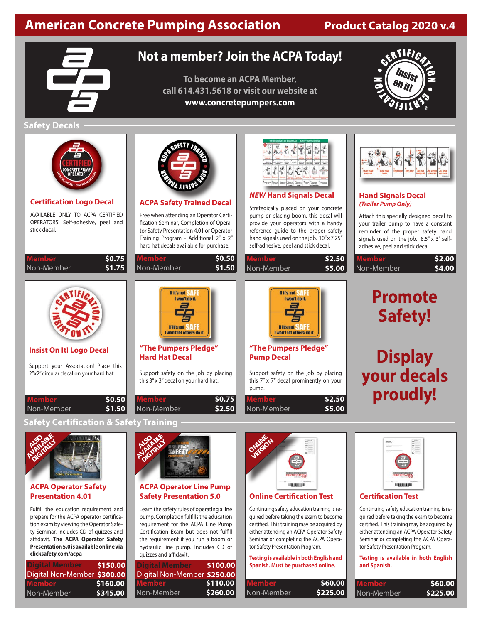# **American Concrete Pumping Association Froduct Catalog 2020 v.4**

# **Not a member? Join the ACPA Today!**

**To become an ACPA Member, call 614.431.5618 or visit our website at www.concretepumpers.com**



# **Safety Decals**

| ONCRETE PL<br><b>DPERATO</b><br><b>Certification Logo Decal</b><br>AVAILABLE ONLY TO ACPA CERTIFIED<br>OPERATORS! Self-adhesive, peel and<br>stick decal. | <b>ACPA Safety Trained Decal</b><br>Free when attending an Operator Certi-<br>fication Seminar, Completion of Opera-<br>tor Safety Presentation 4.01 or Operator<br>Training Program - Additional 2" x 2"<br>hard hat decals available for purchase. | <b>NEW Hand Signals Decal</b><br>Strategically placed on your concrete<br>pump or placing boom, this decal will<br>provide your operators with a handy<br>reference guide to the proper safety<br>hand signals used on the job. 10"x 7.25"<br>self-adhesive, peel and stick decal. | <b>Hand Signals Decal</b><br>(Trailer Pump Only)<br>Attach this specially designed decal to<br>your trailer pump to have a constant<br>reminder of the proper safety hand<br>signals used on the job. 8.5" x 3" self-<br>adhesive, peel and stick decal. |
|-----------------------------------------------------------------------------------------------------------------------------------------------------------|------------------------------------------------------------------------------------------------------------------------------------------------------------------------------------------------------------------------------------------------------|------------------------------------------------------------------------------------------------------------------------------------------------------------------------------------------------------------------------------------------------------------------------------------|----------------------------------------------------------------------------------------------------------------------------------------------------------------------------------------------------------------------------------------------------------|
| Member<br>\$0.75<br>\$1.75<br>Non-Member                                                                                                                  | Member<br>\$0.50<br>Non-Member<br>\$1.50                                                                                                                                                                                                             | <b>Member</b><br>\$2.50<br>Non-Member<br>\$5.00                                                                                                                                                                                                                                    | Member<br>\$2.00<br>\$4.00 <br>Non-Member                                                                                                                                                                                                                |
|                                                                                                                                                           | If it's not<br>I won't do it.<br>$\equiv$<br>If it's not<br>won't let others do it.                                                                                                                                                                  | If it's not<br>I won't do it.<br>If it's not-<br>won't let others do it                                                                                                                                                                                                            | <b>Promote</b><br><b>Safety!</b>                                                                                                                                                                                                                         |
| <b>Insist On It! Logo Decal</b>                                                                                                                           | "The Pumpers Pledge"<br><b>Hard Hat Decal</b>                                                                                                                                                                                                        | "The Pumpers Pledge"<br><b>Pump Decal</b>                                                                                                                                                                                                                                          |                                                                                                                                                                                                                                                          |
| Support your Association! Place this<br>2"x2" circular decal on your hard hat.                                                                            | Support safety on the job by placing<br>this 3" x 3" decal on your hard hat.                                                                                                                                                                         | Support safety on the job by placing<br>this 7" x 7" decal prominently on your<br>pump.                                                                                                                                                                                            | Display<br>your decals<br>proudly!                                                                                                                                                                                                                       |
| <b>Member</b><br>\$0.50<br>\$1.50<br>Non-Member                                                                                                           | Member<br>\$0.75<br>\$2.50<br>Non-Member                                                                                                                                                                                                             | \$2.50<br>Memb <u>er</u><br>Non-Member<br>\$5.00                                                                                                                                                                                                                                   |                                                                                                                                                                                                                                                          |

# **Safety Certification & Safety Training**



#### **ACPA Operator Safety Presentation 4.01**

Fulfill the education requirement and prepare for the ACPA operator certification exam by viewing the Operator Safety Seminar. Includes CD of quizzes and affidavit. **The ACPA Operator Safety Presentation 5.0 is available online via clicksafety.com/acpa**

| Digital Member              | \$150.00 |
|-----------------------------|----------|
| Digital Non-Member \$300.00 |          |
| Member                      | \$160.00 |
| Non-Member                  | \$345.00 |



### **ACPA Operator Line Pump Safety Presentation 5.0**

Learn the safety rules of operating a line pump. Completion fulfills the education requirement for the ACPA Line Pump Certification Exam but does not fulfill the requirement if you run a boom or hydraulic line pump. Includes CD of quizzes and affidavit.

| <b>Digital Member</b>       | \$100.00 |
|-----------------------------|----------|
| Digital Non-Member \$250.00 |          |
| Member                      | \$110.00 |
| Non-Member                  | \$260.00 |



#### **Online Certification Test**

Continuing safety education training is required before taking the exam to become certified. This training may be acquired by either attending an ACPA Operator Safety Seminar or completing the ACPA Operator Safety Presentation Program.

#### **Testing is available in both English and Spanish. Must be purchased online.**

| \$60.00  |
|----------|
| \$225.00 |
|          |



# **Certification Test**

Continuing safety education training is required before taking the exam to become certified. This training may be acquired by either attending an ACPA Operator Safety Seminar or completing the ACPA Operator Safety Presentation Program.

**Testing is available in both English and Spanish.**

| <b>Member</b> | \$60.00  |
|---------------|----------|
| l Non-Member  | \$225.00 |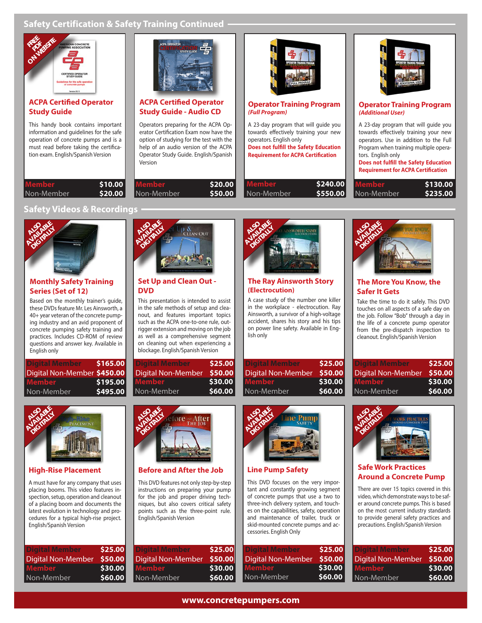# **Safety Certification & Safety Training Continued**



#### **ACPA Certified Operator Study Guide**

This handy book contains important information and guidelines for the safe operation of concrete pumps and is a must read before taking the certification exam. English/Spanish Version



## **ACPA Certified Operator Study Guide - Audio CD**

Operators preparing for the ACPA Operator Certification Exam now have the option of studying for the test with the help of an audio version of the ACPA Operator Study Guide. English/Spanish Version

| \$10.00  | <b>Member</b> | \$20.00 |
|----------|---------------|---------|
| \$20.00│ | Non-Member    | \$50.00 |



#### **Operator Training Program (Full Program)**

A 23-day program that will guide you towards effectively training your new operators. English only **Does not fulfill the Safety Education Requirement for ACPA Certification**

| Member       | \$240.00 |
|--------------|----------|
| I Non-Member | S550.00  |



#### **Operator Training Program (Additional User)**

A 23-day program that will guide you towards effectively training your new operators. Use in addition to the Full Program when training multiple operators. English only

**Does not fulfill the Safety Education Requirement for ACPA Certification**

| <b>Member</b> | \$130.00 |
|---------------|----------|
| Non-Member    | \$235.00 |

### **Safety Videos & Recordings**



**Member** Non-Member

## **Monthly Safety Training Series (Set of 12)**

Based on the monthly trainer's guide, these DVDs feature Mr. Les Ainsworth, a 40+ year veteran of the concrete pumping industry and an avid proponent of concrete pumping safety training and practices. Includes CD-ROM of review questions and answer key. Available in English only

| l Digital Member            | \$165.00 |
|-----------------------------|----------|
| Digital Non-Member \$450.00 |          |
| <b>Member</b>               | \$195.00 |
| Non-Member                  | \$495.00 |



### **High-Rise Placement**

A must have for any company that uses placing booms. This video features inspection, setup, operation and cleanout of a placing boom and documents the latest evolution in technology and procedures for a typical high-rise project. English/Spanish Version

| \$25.00 |
|---------|
| \$50.00 |
| \$30.00 |
| \$60.00 |
|         |



#### **Set Up and Clean Out - DVD**

This presentation is intended to assist in the safe methods of setup and cleanout, and features important topics such as the ACPA one-to-one rule, outrigger extension and moving on the job as well as a comprehensive segment on cleaning out when experiencing a blockage. English/Spanish Version

| <b>Digital Member</b>     | \$25.00 |
|---------------------------|---------|
| <b>Digital Non-Member</b> | \$50.00 |
| Member                    | \$30.00 |
| Non-Member                | \$60.00 |



### **Before and After the Job**

This DVD features not only step-by-step instructions on preparing your pump for the job and proper driving techniques, but also covers critical safety points such as the three-point rule. English/Spanish Version

| Digital Member            | \$25.00 |
|---------------------------|---------|
| <b>Digital Non-Member</b> | \$50.00 |
| Member                    | \$30.00 |
| Non-Member                | \$60.00 |



# **The Ray Ainsworth Story (Electrocution)**

A case study of the number one killer in the workplace - electrocution. Ray Ainsworth, a survivor of a high-voltage accident, shares his story and his tips on power line safety. Available in English only

| <b>Digital Member</b> | \$25.00 |
|-----------------------|---------|
| Digital Non-Member    | \$50.00 |
| <b>Member</b>         | \$30.00 |
| l Non-Member          | \$60.00 |

ine Pum



# **The More You Know, the Safer It Gets**

Take the time to do it safely. This DVD touches on all aspects of a safe day on the job. Follow "Bob" through a day in the life of a concrete pump operator from the pre-dispatch inspection to cleanout. English/Spanish Version

| Digital Member     | \$25.00 |
|--------------------|---------|
| Digital Non-Member | \$50.00 |
| l Member           | \$30.00 |
| l Non-Member       | \$60.00 |



#### **Safe Work Practices Around a Concrete Pump**

There are over 15 topics covered in this video, which demonstrate ways to be safer around concrete pumps. This is based on the most current industry standards to provide general safety practices and precautions. English/Spanish Version

| Digital Member            | \$25.00 |
|---------------------------|---------|
| <b>Digital Non-Member</b> | \$50.00 |
| Member                    | \$30.00 |
| Non-Member                | \$60.00 |

# **www.concretepumpers.com**

Non-Member

**Line Pump Safety** 

**ALSO ABLES DIGITALLY** 

cessories. English Only

Digital Non-Member

This DVD focuses on the very important and constantly growing segment of concrete pumps that use a two to three-inch delivery system, and touches on the capabilities, safety, operation and maintenance of trailer, truck or skid-mounted concrete pumps and ac-

> **\$30.00 \$60.00**

**\$25.00 \$50.00**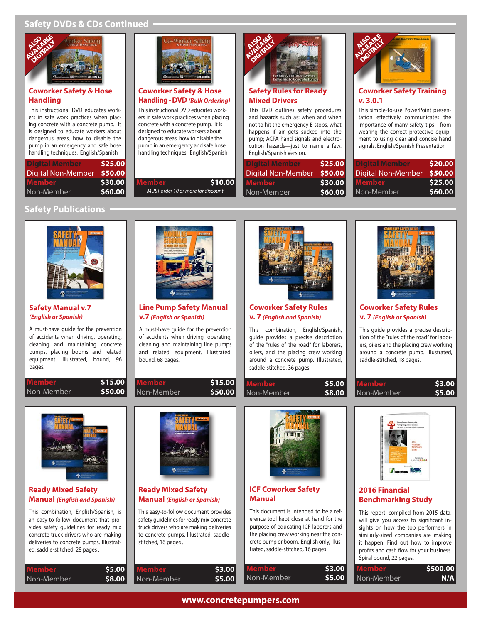# **Safety DVDs & CDs Continued**



#### **Coworker Safety & Hose Handling**

This instructional DVD educates workers in safe work practices when placing concrete with a concrete pump. It is designed to educate workers about dangerous areas, how to disable the pump in an emergency and safe hose handling techniques. English/Spanish

| <b>Digital Member</b> | \$25.00 |
|-----------------------|---------|
| Digital Non-Member    | \$50.00 |
| Member                | \$30.00 |
| Non-Member            | \$60.00 |



#### **Coworker Safety & Hose Handling - DVD (Bulk Ordering)**

This instructional DVD educates workers in safe work practices when placing concrete with a concrete pump. It is designed to educate workers about dangerous areas, how to disable the pump in an emergency and safe hose handling techniques. English/Spanish

MUST order 10 or more for discount

\$10.00

**\$15.00 \$50.00**



# **Safety Rules for Mixed Drivers**

This DVD outlines safety procedures and hazards such as: when and when not to hit the emergency E-stops, what happens if air gets sucked into the pump; ACPA hand signals and electrocution hazards—just to name a few. English/Spanish Version.

| l Digital Member   | \$25.00 |
|--------------------|---------|
| Digital Non-Member | \$50.00 |
| l Member           | \$30.00 |
| Non-Member         | \$60.00 |



### **Coworker Safety Training v. 3.0.1**

This simple-to-use PowerPoint presentation effectively communicates the importance of many safety tips—from wearing the correct protective equipment to using clear and concise hand signals. English/Spanish Presentation

| Digital Member     | \$20.00 |
|--------------------|---------|
| Digital Non-Member | \$50.00 |
| <b>Member</b>      | \$25.00 |
| Non-Member         | \$60.00 |

# **Safety Publications**



#### **Safety Manual v.7 (English or Spanish)**

A must-have guide for the prevention of accidents when driving, operating, cleaning and maintaining concrete pumps, placing booms and related equipment. Illustrated, bound, 96 pages.

| payes.     |         |
|------------|---------|
| Member     | \$15.00 |
| Non-Member | \$50.00 |



**Line Pump Safety Manual v.7 (English or Spanish)**

A must-have guide for the prevention of accidents when driving, operating, cleaning and maintaining line pumps and related equipment. Illustrated, bound, 68 pages.

**Member** Non-Member



**Coworker Safety Rules v. 7 (English and Spanish)**

This combination, English/Spanish, guide provides a precise description of the "rules of the road" for laborers, oilers, and the placing crew working around a concrete pump. Illustrated, saddle-stitched, 36 pages

> **\$5.00 \$8.00**

Non-Member

|   |   | VERSION 7.8.1 |
|---|---|---------------|
|   | ٠ |               |
|   |   |               |
|   |   |               |
|   |   | -<br>÷        |
| ٠ | ٠ | ٠             |

**POWORVER CATETY RILLER** 

#### **Coworker Safety Rules v. 7 (English or Spanish)**

This guide provides a precise description of the "rules of the road" for laborers, oilers and the placing crew working around a concrete pump. Illustrated, saddle-stitched, 18 pages.

| Member     | \$3.00 |
|------------|--------|
| Non-Member | \$5.00 |



### **Ready Mixed Safety Manual (English and Spanish)**

This combination, English/Spanish, is an easy-to-follow document that provides safety guidelines for ready mix concrete truck drivers who are making deliveries to concrete pumps. Illustrated, saddle-stitched, 28 pages .

| Member     | \$5.00 |
|------------|--------|
| Non-Member | \$8.00 |



# **Ready Mixed Safety Manual (English or Spanish)**

This easy-to-follow document provides safety guidelines for ready mix concrete truck drivers who are making deliveries to concrete pumps. Illustrated, saddlestitched, 16 pages .

| Member     | \$3.00 | .MI   |
|------------|--------|-------|
| Non-Member | \$5.00 | Non-M |
|            |        |       |



# **ICF Coworker Safety Manual**

This document is intended to be a reference tool kept close at hand for the purpose of educating ICF laborers and the placing crew working near the concrete pump or boom. English only, illustrated, saddle-stitched, 16 pages

| <b>Member</b> | \$3.00 |
|---------------|--------|
| Non-Member    | \$5.00 |



# **2016 Financial Benchmarking Study**

This report, compiled from 2015 data, will give you access to significant insights on how the top performers in similarly-sized companies are making it happen. Find out how to improve profits and cash flow for your business. Spiral bound, 22 pages.

| Member     | \$500.00 |
|------------|----------|
| Non-Member | N/A      |